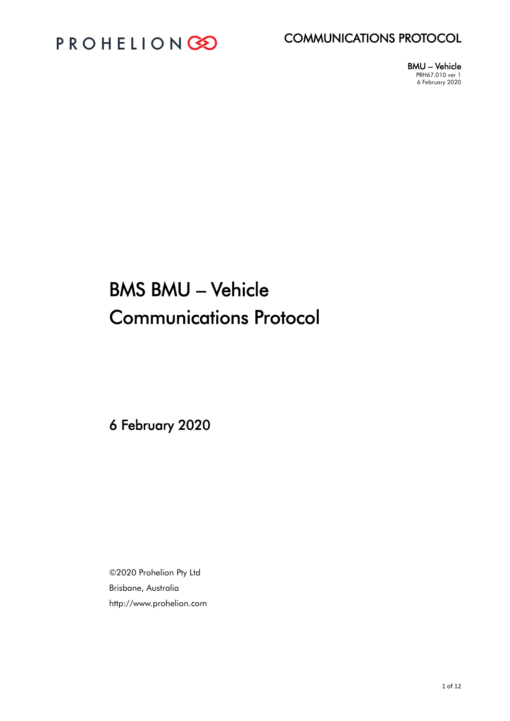



BMU – Vehicle PRH67.010 ver 1 6 February 2020

# BMS BMU – Vehicle Communications Protocol

6 February 2020

©2020 Prohelion Pty Ltd Brisbane, Australia http://www.prohelion.com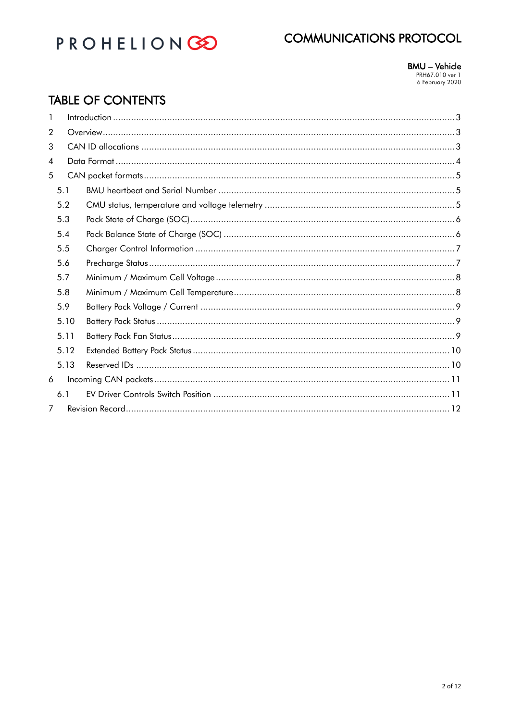

**BMU - Vehicle** PRH67.010 ver 1<br>6 February 2020

## **TABLE OF CONTENTS**

| 1              |      |  |  |
|----------------|------|--|--|
| $\overline{2}$ |      |  |  |
| 3              |      |  |  |
| 4              |      |  |  |
| 5              |      |  |  |
|                | 5.1  |  |  |
|                | 5.2  |  |  |
|                | 5.3  |  |  |
|                | 5.4  |  |  |
|                | 5.5  |  |  |
|                | 5.6  |  |  |
|                | 5.7  |  |  |
|                | 5.8  |  |  |
|                | 5.9  |  |  |
|                | 5.10 |  |  |
|                | 5.11 |  |  |
|                | 5.12 |  |  |
|                | 5.13 |  |  |
| 6              |      |  |  |
|                | 6.1  |  |  |
| 7              |      |  |  |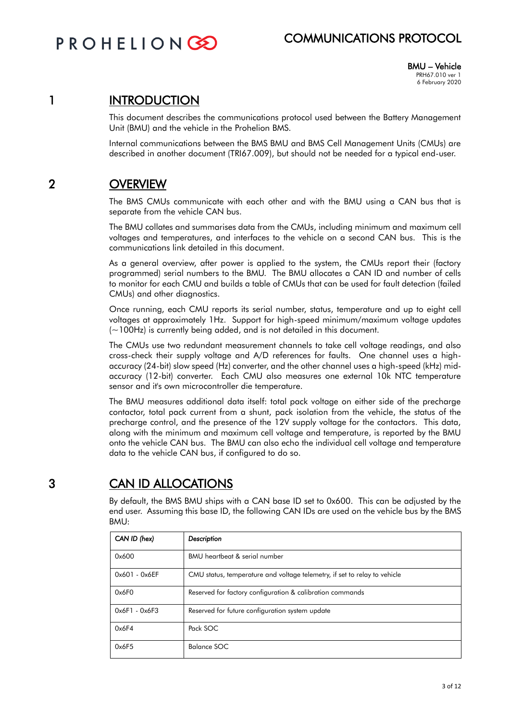**PROHELIONG** 

## COMMUNICATIONS PROTOCOL

BMU – Vehicle PRH67.010 ver 1 6 February 2020

#### 1 INTRODUCTION

This document describes the communications protocol used between the Battery Management Unit (BMU) and the vehicle in the Prohelion BMS.

Internal communications between the BMS BMU and BMS Cell Management Units (CMUs) are described in another document (TRI67.009), but should not be needed for a typical end-user.

## 2 OVERVIEW

The BMS CMUs communicate with each other and with the BMU using a CAN bus that is separate from the vehicle CAN bus.

The BMU collates and summarises data from the CMUs, including minimum and maximum cell voltages and temperatures, and interfaces to the vehicle on a second CAN bus. This is the communications link detailed in this document.

As a general overview, after power is applied to the system, the CMUs report their (factory programmed) serial numbers to the BMU. The BMU allocates a CAN ID and number of cells to monitor for each CMU and builds a table of CMUs that can be used for fault detection (failed CMUs) and other diagnostics.

Once running, each CMU reports its serial number, status, temperature and up to eight cell voltages at approximately 1Hz. Support for high-speed minimum/maximum voltage updates (~100Hz) is currently being added, and is not detailed in this document.

The CMUs use two redundant measurement channels to take cell voltage readings, and also cross-check their supply voltage and A/D references for faults. One channel uses a highaccuracy (24-bit) slow speed (Hz) converter, and the other channel uses a high-speed (kHz) midaccuracy (12-bit) converter. Each CMU also measures one external 10k NTC temperature sensor and it's own microcontroller die temperature.

The BMU measures additional data itself: total pack voltage on either side of the precharge contactor, total pack current from a shunt, pack isolation from the vehicle, the status of the precharge control, and the presence of the 12V supply voltage for the contactors. This data, along with the minimum and maximum cell voltage and temperature, is reported by the BMU onto the vehicle CAN bus. The BMU can also echo the individual cell voltage and temperature data to the vehicle CAN bus, if configured to do so.

## 3 CAN ID ALLOCATIONS

By default, the BMS BMU ships with a CAN base ID set to 0x600. This can be adjusted by the end user. Assuming this base ID, the following CAN IDs are used on the vehicle bus by the BMS BMU:

| CAN ID (hex)    | Description                                                               |
|-----------------|---------------------------------------------------------------------------|
| 0x600           | BMU heartbeat & serial number                                             |
| $0x601 - 0x6EF$ | CMU status, temperature and voltage telemetry, if set to relay to vehicle |
| 0x6F0           | Reserved for factory configuration & calibration commands                 |
| $0x6F1 - 0x6F3$ | Reserved for future configuration system update                           |
| 0x6F4           | Pack SOC                                                                  |
| 0x6F5           | Balance SOC                                                               |

3 of 12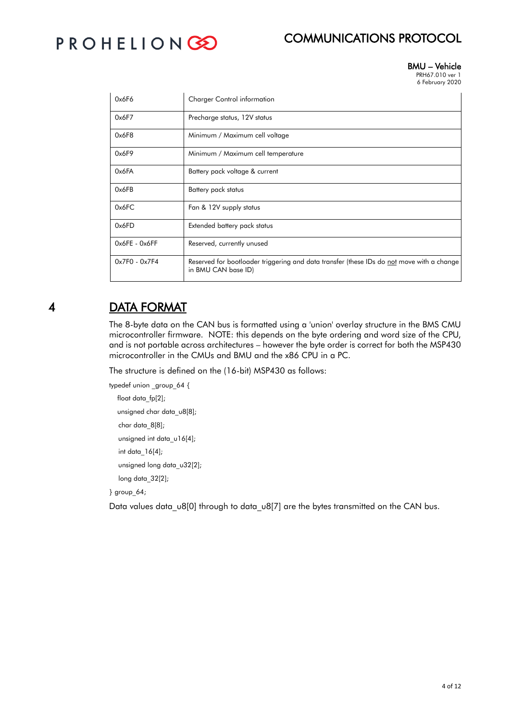# PROHELIONGO

#### BMU – Vehicle PRH67.010 ver 1

6 February 2020

| 0x6F6           | <b>Charger Control information</b>                                                                               |
|-----------------|------------------------------------------------------------------------------------------------------------------|
| 0x6F7           | Precharge status, 12V status                                                                                     |
| 0x6F8           | Minimum / Maximum cell voltage                                                                                   |
| 0x6F9           | Minimum / Maximum cell temperature                                                                               |
| 0x6FA           | Battery pack voltage & current                                                                                   |
| 0x6FB           | Battery pack status                                                                                              |
| 0x6FC           | Fan & 12V supply status                                                                                          |
| 0x6FD           | Extended battery pack status                                                                                     |
| $0x6FE - 0x6FF$ | Reserved, currently unused                                                                                       |
| $0x7F0 - 0x7F4$ | Reserved for bootloader triggering and data transfer (these IDs do not move with a change<br>in BMU CAN base ID) |

## 4 DATA FORMAT

The 8-byte data on the CAN bus is formatted using a 'union' overlay structure in the BMS CMU microcontroller firmware. NOTE: this depends on the byte ordering and word size of the CPU, and is not portable across architectures – however the byte order is correct for both the MSP430 microcontroller in the CMUs and BMU and the x86 CPU in a PC.

The structure is defined on the (16-bit) MSP430 as follows:

```
typedef union _group_64 {
float data_fp[2];
unsigned char data_u8[8];
char data_8[8];
unsigned int data_u16[4];
int data_16[4];
unsigned long data_u32[2];
long data_32[2];
```
} group\_64;

Data values data\_u8[0] through to data\_u8[7] are the bytes transmitted on the CAN bus.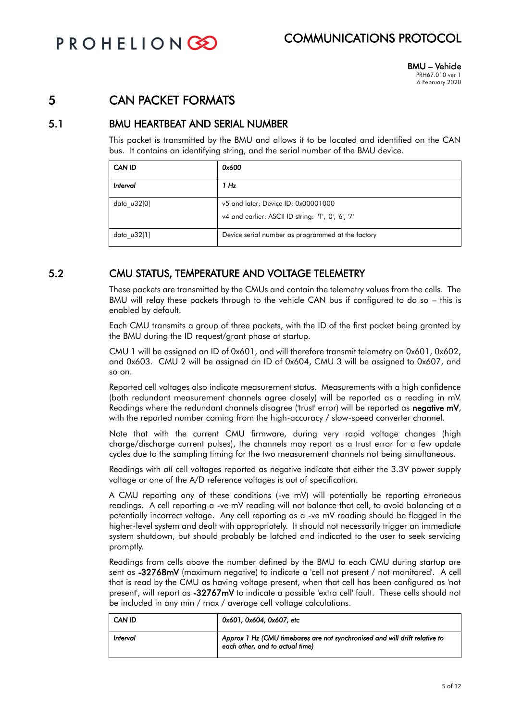PROHELIONCE

## COMMUNICATIONS PROTOCOL

### 5 CAN PACKET FORMATS

#### 5.1 BMU HEARTBEAT AND SERIAL NUMBER

This packet is transmitted by the BMU and allows it to be located and identified on the CAN bus. It contains an identifying string, and the serial number of the BMU device.

| CAN ID        | 0x600                                                                                    |
|---------------|------------------------------------------------------------------------------------------|
| Interval      | 1 Hz                                                                                     |
| data u32[0]   | v5 and later: Device ID: 0x00001000<br>v4 and earlier: ASCII ID string: T, '0', '6', '7' |
| data $u32[1]$ | Device serial number as programmed at the factory                                        |

#### 5.2 CMU STATUS, TEMPERATURE AND VOLTAGE TELEMETRY

These packets are transmitted by the CMUs and contain the telemetry values from the cells. The BMU will relay these packets through to the vehicle CAN bus if configured to do so – this is enabled by default.

Each CMU transmits a group of three packets, with the ID of the first packet being granted by the BMU during the ID request/grant phase at startup.

CMU 1 will be assigned an ID of 0x601, and will therefore transmit telemetry on 0x601, 0x602, and 0x603. CMU 2 will be assigned an ID of 0x604, CMU 3 will be assigned to 0x607, and so on.

Reported cell voltages also indicate measurement status. Measurements with a high confidence (both redundant measurement channels agree closely) will be reported as a reading in mV. Readings where the redundant channels disagree ('trust' error) will be reported as negative mV, with the reported number coming from the high-accuracy / slow-speed converter channel.

Note that with the current CMU firmware, during very rapid voltage changes (high charge/discharge current pulses), the channels may report as a trust error for a few update cycles due to the sampling timing for the two measurement channels not being simultaneous.

Readings with *all* cell voltages reported as negative indicate that either the 3.3V power supply voltage or one of the A/D reference voltages is out of specification.

A CMU reporting any of these conditions (-ve mV) will potentially be reporting erroneous readings. A cell reporting a -ve mV reading will not balance that cell, to avoid balancing at a potentially incorrect voltage. Any cell reporting as a -ve mV reading should be flagged in the higher-level system and dealt with appropriately. It should not necessarily trigger an immediate system shutdown, but should probably be latched and indicated to the user to seek servicing promptly.

Readings from cells above the number defined by the BMU to each CMU during startup are sent as -32768mV (maximum negative) to indicate a 'cell not present / not monitored'. A cell that is read by the CMU as having voltage present, when that cell has been configured as 'not present', will report as -32767mV to indicate a possible 'extra cell' fault. These cells should not be included in any min / max / average cell voltage calculations.

| <b>CAN ID</b> | 0x601, 0x604, 0x607, etc                                                                                      |
|---------------|---------------------------------------------------------------------------------------------------------------|
| Interval      | Approx 1 Hz (CMU timebases are not synchronised and will drift relative to<br>each other, and to actual time) |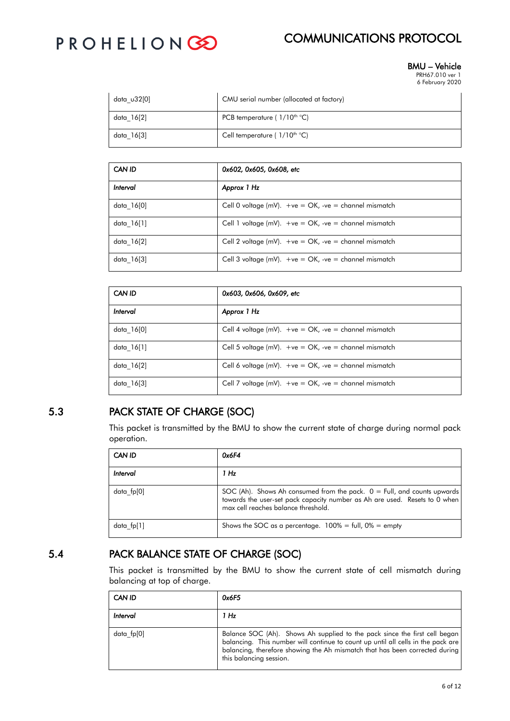# PROHELIONGO

## COMMUNICATIONS PROTOCOL

#### BMU – Vehicle PRH67.010 ver 1

6 February 2020

| data u32[0] | CMU serial number (allocated at factory) |
|-------------|------------------------------------------|
| data 16[2]  | PCB temperature ( $1/10^{th}$ °C)        |
| data 16[3]  | Cell temperature ( $1/10^{th}$ °C)       |

| CAN ID     | 0x602, 0x605, 0x608, etc                                   |
|------------|------------------------------------------------------------|
| Interval   | Approx 1 Hz                                                |
| data 16[0] | Cell 0 voltage (mV). $+ve = OK$ , $-ve = channel$ mismatch |
| data 16[1] | Cell 1 voltage (mV). $+ve = OK$ , $-ve = channel$ mismatch |
| data 16[2] | Cell 2 voltage (mV). $+ve = OK$ , $-ve = channel$ mismatch |
| data 16[3] | Cell 3 voltage (mV). $+ve = OK$ , $-ve = channel$ mismatch |

| CAN ID     | 0x603, 0x606, 0x609, etc                                   |
|------------|------------------------------------------------------------|
| Interval   | Approx 1 Hz                                                |
| data 16[0] | Cell 4 voltage (mV). $+ve = OK$ , $-ve = channel$ mismatch |
| data 16[1] | Cell 5 voltage (mV). $+ve = OK$ , $-ve = channel$ mismatch |
| data 16[2] | Cell 6 voltage (mV). $+ve = OK$ , $-ve = channel$ mismatch |
| data 16[3] | Cell 7 voltage (mV). $+ve = OK$ , $-ve = channel$ mismatch |

### 5.3 PACK STATE OF CHARGE (SOC)

This packet is transmitted by the BMU to show the current state of charge during normal pack operation.

| <b>CAN ID</b> | 0x6F4                                                                                                                                                                                          |
|---------------|------------------------------------------------------------------------------------------------------------------------------------------------------------------------------------------------|
| Interval      | 1 Hz                                                                                                                                                                                           |
| data fp[0]    | SOC (Ah). Shows Ah consumed from the pack. $0 =$ Full, and counts upwards<br>towards the user-set pack capacity number as Ah are used. Resets to 0 when<br>max cell reaches balance threshold. |
| data fp[1]    | Shows the SOC as a percentage. $100\% = \text{full}$ , $0\% = \text{empty}$                                                                                                                    |

### 5.4 PACK BALANCE STATE OF CHARGE (SOC)

This packet is transmitted by the BMU to show the current state of cell mismatch during balancing at top of charge.

| CAN ID     | 0x6F5                                                                                                                                                                                                                                                                    |
|------------|--------------------------------------------------------------------------------------------------------------------------------------------------------------------------------------------------------------------------------------------------------------------------|
| Interval   | 1 H <sub>z</sub>                                                                                                                                                                                                                                                         |
| data fp[0] | Balance SOC (Ah). Shows Ah supplied to the pack since the first cell began<br>balancing. This number will continue to count up until all cells in the pack are<br>balancing, therefore showing the Ah mismatch that has been corrected during<br>this balancing session. |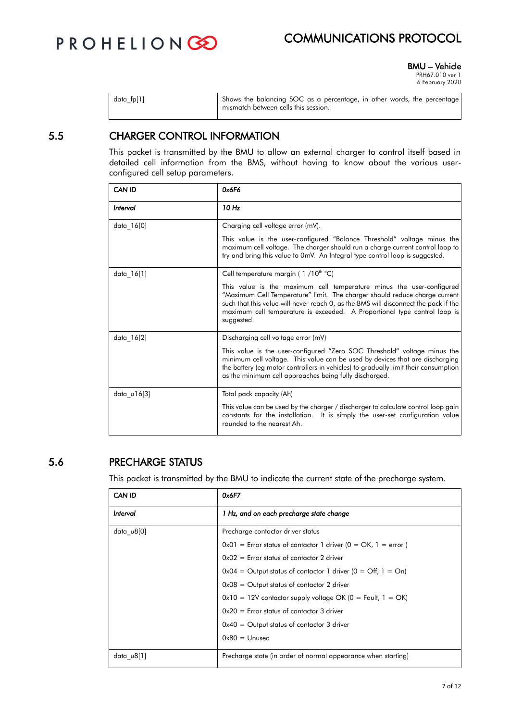

BMU – Vehicle

PRH67.010 ver 1 6 February 2020

| data fp[1] | Shows the balancing SOC as a percentage, in other words, the percentage<br>mismatch between cells this session. |
|------------|-----------------------------------------------------------------------------------------------------------------|
|            |                                                                                                                 |

#### 5.5 CHARGER CONTROL INFORMATION

This packet is transmitted by the BMU to allow an external charger to control itself based in detailed cell information from the BMS, without having to know about the various userconfigured cell setup parameters.

| CAN ID        | 0x6F6                                                                                                                                                                                                                                                                                                                                |
|---------------|--------------------------------------------------------------------------------------------------------------------------------------------------------------------------------------------------------------------------------------------------------------------------------------------------------------------------------------|
| Interval      | 10 Hz                                                                                                                                                                                                                                                                                                                                |
| data 16[0]    | Charging cell voltage error (mV).                                                                                                                                                                                                                                                                                                    |
|               | This value is the user-configured "Balance Threshold" voltage minus the<br>maximum cell voltage. The charger should run a charge current control loop to<br>try and bring this value to 0mV. An Integral type control loop is suggested.                                                                                             |
| data 16[1]    | Cell temperature margin (1/10 <sup>th °</sup> C)                                                                                                                                                                                                                                                                                     |
|               | This value is the maximum cell temperature minus the user-configured<br>"Maximum Cell Temperature" limit. The charger should reduce charge current<br>such that this value will never reach 0, as the BMS will disconnect the pack if the<br>maximum cell temperature is exceeded. A Proportional type control loop is<br>suggested. |
| data_16[2]    | Discharging cell voltage error (mV)                                                                                                                                                                                                                                                                                                  |
|               | This value is the user-configured "Zero SOC Threshold" voltage minus the<br>minimum cell voltage. This value can be used by devices that are discharging<br>the battery (eg motor controllers in vehicles) to gradually limit their consumption<br>as the minimum cell approaches being fully discharged.                            |
| data $u16[3]$ | Total pack capacity (Ah)                                                                                                                                                                                                                                                                                                             |
|               | This value can be used by the charger / discharger to calculate control loop gain<br>constants for the installation. It is simply the user-set configuration value<br>rounded to the nearest Ah.                                                                                                                                     |

#### 5.6 PRECHARGE STATUS

This packet is transmitted by the BMU to indicate the current state of the precharge system.

| <b>CAN ID</b>    | 0x6F7                                                                          |
|------------------|--------------------------------------------------------------------------------|
| Interval         | 1 Hz, and on each precharge state change                                       |
| data $\cup$ 8[0] | Precharge contactor driver status                                              |
|                  | $0x01$ = Error status of contactor 1 driver ( $0 = OK$ , 1 = error)            |
|                  | $0x02$ = Error status of contactor 2 driver                                    |
|                  | $0x04$ = Output status of contactor 1 driver $(0 = \text{Off}, 1 = \text{On})$ |
|                  | $0x08 =$ Output status of contactor 2 driver                                   |
|                  | $0x10 = 12V$ contactor supply voltage OK (0 = Fault, 1 = OK)                   |
|                  | $0x20 =$ Error status of contactor 3 driver                                    |
|                  | $0x40 =$ Output status of contactor 3 driver                                   |
|                  | $0x80 =$ Unused                                                                |
| data u8[1]       | Precharge state (in order of normal appearance when starting)                  |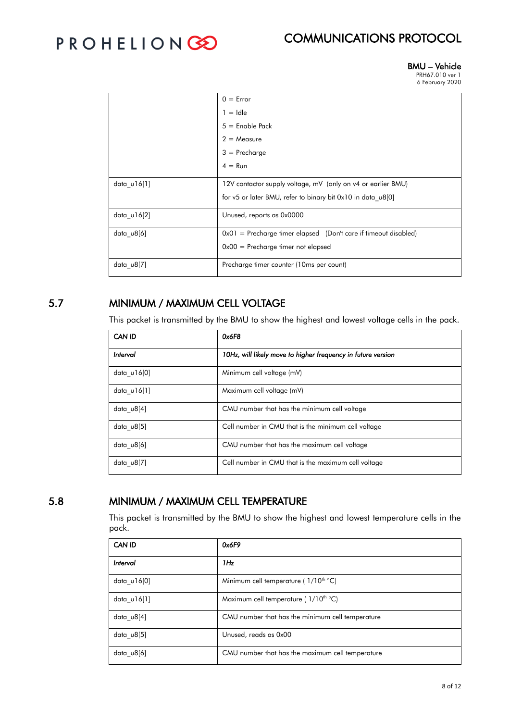# PROHELIONGO

## COMMUNICATIONS PROTOCOL

#### BMU – Vehicle PRH67.010 ver 1

6 February 2020

|                  | $0 = Error$<br>$1 =$ Idle<br>$5 =$ Enable Pack<br>$2 = Measure$<br>$3 = Precharge$                                          |
|------------------|-----------------------------------------------------------------------------------------------------------------------------|
|                  | $4 = \text{Run}$                                                                                                            |
| data $u16[1]$    | 12V contactor supply voltage, mV (only on v4 or earlier BMU)<br>for v5 or later BMU, refer to binary bit 0x10 in data u8[0] |
| data $u16[2]$    | Unused, reports as 0x0000                                                                                                   |
| data u8[6]       | $0x01$ = Precharge timer elapsed (Don't care if timeout disabled)<br>$0x00$ = Precharge timer not elapsed                   |
| data $\cup$ 8[7] | Precharge timer counter (10ms per count)                                                                                    |

#### 5.7 MINIMUM / MAXIMUM CELL VOLTAGE

This packet is transmitted by the BMU to show the highest and lowest voltage cells in the pack.

| CAN ID      | 0x6F8                                                        |
|-------------|--------------------------------------------------------------|
| Interval    | 10Hz, will likely move to higher frequency in future version |
| data u16[0] | Minimum cell voltage (mV)                                    |
| data u16[1] | Maximum cell voltage (mV)                                    |
| data u8[4]  | CMU number that has the minimum cell voltage                 |
| data u8[5]  | Cell number in CMU that is the minimum cell voltage          |
| data u8[6]  | CMU number that has the maximum cell voltage                 |
| data u8[7]  | Cell number in CMU that is the maximum cell voltage          |

#### 5.8 MINIMUM / MAXIMUM CELL TEMPERATURE

This packet is transmitted by the BMU to show the highest and lowest temperature cells in the pack.

| CAN ID           | 0x6F9                                            |
|------------------|--------------------------------------------------|
| Interval         | 1Hz                                              |
| data $u16[0]$    | Minimum cell temperature ( $1/10^{th}$ °C)       |
| data $u16[1]$    | Maximum cell temperature ( $1/10^{th}$ °C)       |
| data $u8[4]$     | CMU number that has the minimum cell temperature |
| data $\cup$ 8[5] | Unused, reads as 0x00                            |
| data $\cup$ 8[6] | CMU number that has the maximum cell temperature |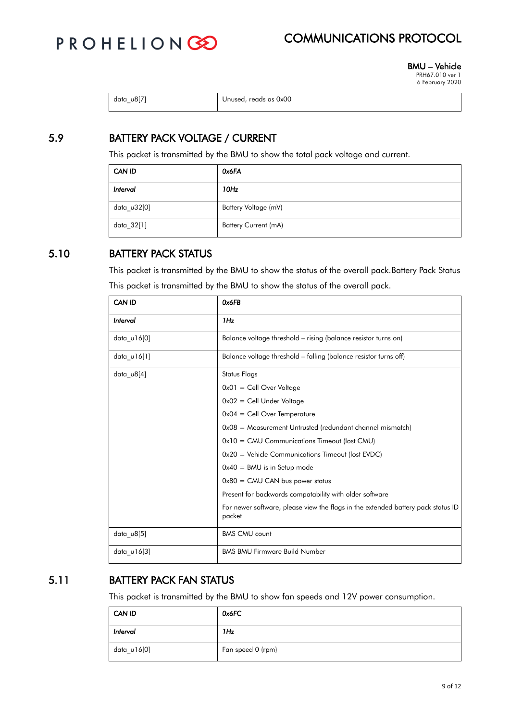

BMU – Vehicle PRH67.010 ver 1 6 February 2020

| data u8[7] | Unused, reads as 0x00 |
|------------|-----------------------|
|------------|-----------------------|

### 5.9 BATTERY PACK VOLTAGE / CURRENT

This packet is transmitted by the BMU to show the total pack voltage and current.

| CAN ID      | 0x6FA                       |
|-------------|-----------------------------|
| Interval    | 10Hz                        |
| data_u32[0] | Battery Voltage (mV)        |
| data_32[1]  | <b>Battery Current (mA)</b> |

#### 5.10 BATTERY PACK STATUS

This packet is transmitted by the BMU to show the status of the overall pack.Battery Pack Status This packet is transmitted by the BMU to show the status of the overall pack.

| <b>CAN ID</b>    | Ox6FB                                                                                      |  |
|------------------|--------------------------------------------------------------------------------------------|--|
| Interval         | 1Hz                                                                                        |  |
| data $u16[0]$    | Balance voltage threshold – rising (balance resistor turns on)                             |  |
| data $u16[1]$    | Balance voltage threshold – falling (balance resistor turns off)                           |  |
| data $\cup$ 8[4] | Status Flags                                                                               |  |
|                  | $0x01 =$ Cell Over Voltage                                                                 |  |
|                  | $0x02 =$ Cell Under Voltage                                                                |  |
|                  | $0x04 =$ Cell Over Temperature                                                             |  |
|                  | $0x08$ = Measurement Untrusted (redundant channel mismatch)                                |  |
|                  | $0x10 = CMU$ Communications Timeout (lost CMU)                                             |  |
|                  | $0x20$ = Vehicle Communications Timeout (lost EVDC)                                        |  |
|                  | $0x40 =$ BMU is in Setup mode                                                              |  |
|                  | $0x80 = CMU$ CAN bus power status                                                          |  |
|                  | Present for backwards compatability with older software                                    |  |
|                  | For newer software, please view the flags in the extended battery pack status ID<br>packet |  |
| data_u8[5]       | <b>BMS CMU count</b>                                                                       |  |
| data $u16[3]$    | <b>BMS BMU Firmware Build Number</b>                                                       |  |

### 5.11 BATTERY PACK FAN STATUS

This packet is transmitted by the BMU to show fan speeds and 12V power consumption.

| CAN ID      | 0x6FC             |
|-------------|-------------------|
| Interval    | 1Hz               |
| data_u16[0] | Fan speed 0 (rpm) |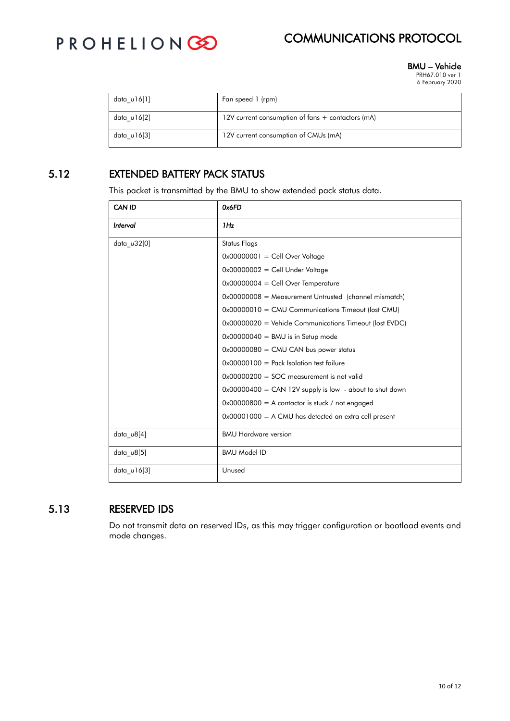

BMU – Vehicle PRH67.010 ver 1

6 February 2020

| data u16[1] | Fan speed 1 (rpm)                                 |
|-------------|---------------------------------------------------|
| data u16[2] | 12V current consumption of fans + contactors (mA) |
| data u16[3] | 12V current consumption of CMUs (mA)              |

#### 5.12 EXTENDED BATTERY PACK STATUS

This packet is transmitted by the BMU to show extended pack status data.

| <b>CAN ID</b>    | 0x6FD                                                     |  |
|------------------|-----------------------------------------------------------|--|
| Interval         | 1Hz                                                       |  |
| data u32[0]      | <b>Status Flags</b>                                       |  |
|                  | $0x00000001 =$ Cell Over Voltage                          |  |
|                  | $0x00000002 =$ Cell Under Voltage                         |  |
|                  | $0x00000004 =$ Cell Over Temperature                      |  |
|                  | $0x00000008$ = Measurement Untrusted (channel mismatch)   |  |
|                  | 0x00000010 = CMU Communications Timeout (lost CMU)        |  |
|                  | 0x00000020 = Vehicle Communications Timeout (lost EVDC)   |  |
|                  | $0x00000040 =$ BMU is in Setup mode                       |  |
|                  | $0x00000080 = CMU CAN$ bus power status                   |  |
|                  | $0x00000100 =$ Pack Isolation test failure                |  |
|                  | $0x00000200 =$ SOC measurement is not valid               |  |
|                  | $0x00000400 = CAN 12V$ supply is low - about to shut down |  |
|                  | $0x00000800 = A$ contactor is stuck / not engaged         |  |
|                  | $0x00001000 = A CMU$ has detected an extra cell present   |  |
| $data_v8[4]$     | <b>BMU Hardware version</b>                               |  |
| data $\cup$ 8[5] | <b>BMU Model ID</b>                                       |  |
| data $u16[3]$    | Unused                                                    |  |

#### 5.13 RESERVED IDS

Do not transmit data on reserved IDs, as this may trigger configuration or bootload events and mode changes.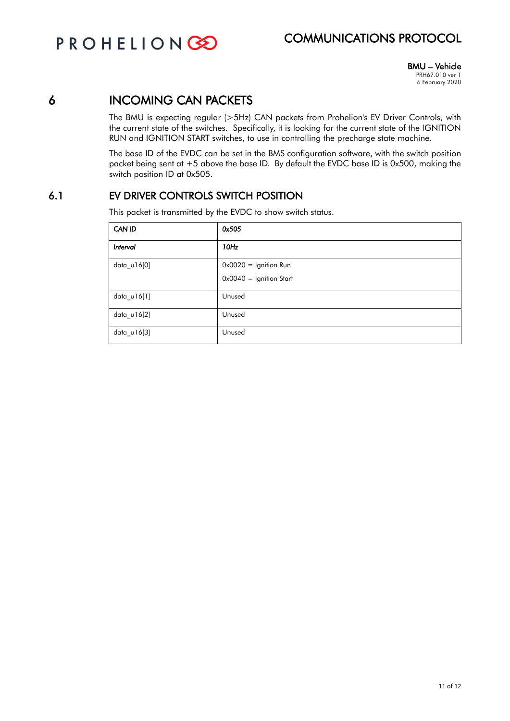PROHELIONGO

## COMMUNICATIONS PROTOCOL

BMU – Vehicle PRH67.010 ver 1 6 February 2020

## 6 INCOMING CAN PACKETS

The BMU is expecting regular (>5Hz) CAN packets from Prohelion's EV Driver Controls, with the current state of the switches. Specifically, it is looking for the current state of the IGNITION RUN and IGNITION START switches, to use in controlling the precharge state machine.

The base ID of the EVDC can be set in the BMS configuration software, with the switch position packet being sent at +5 above the base ID. By default the EVDC base ID is 0x500, making the switch position ID at 0x505.

#### 6.1 EV DRIVER CONTROLS SWITCH POSITION

This packet is transmitted by the EVDC to show switch status.

| CAN ID        | 0x505                     |
|---------------|---------------------------|
| Interval      | 10Hz                      |
| data_u16[0]   | $0x0020 =$ Ignition Run   |
|               | $0x0040 =$ Ignition Start |
| $data_v16[1]$ | Unused                    |
| $data_v16[2]$ | Unused                    |
| data_u16[3]   | Unused                    |